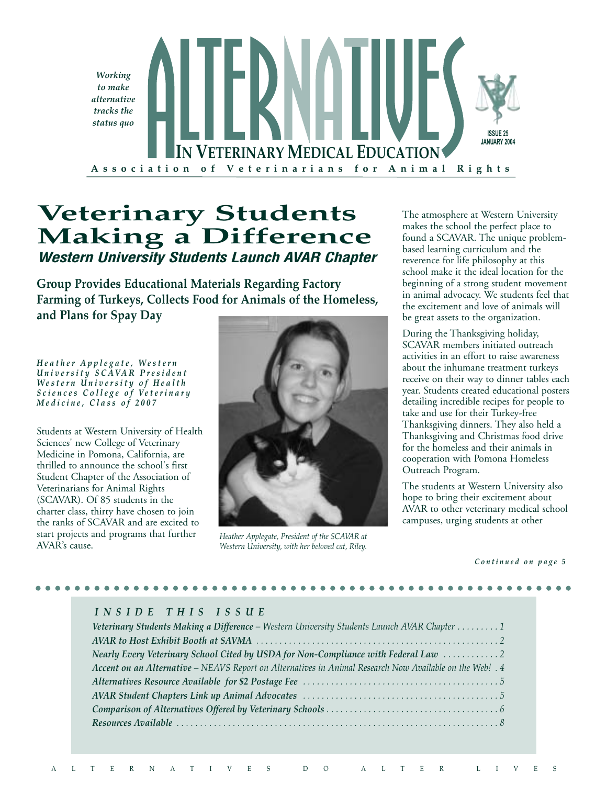

# **Veterinary Students Making a Difference Western University Students Launch AVAR Chapter**

**Group Provides Educational Materials Regarding Factory Farming of Turkeys, Collects Food for Animals of the Homeless, and Plans for Spay Day**

*H e a t h e r A p p l e g a t e , W e s t e r n U n i v e r s i t y S C A V A R P r e s i d e n t W e s t e r n U n i v e r s i t y o f H e a l t h S c i e n c e s C o l l e g e o f V e t e r i n a r y M e d i c i n e , C l a s s o f 2 0 0 7*

Students at Western University of Health Sciences' new College of Veterinary Medicine in Pomona, California, are thrilled to announce the school's first Student Chapter of the Association of Veterinarians for Animal Rights (SCAVAR). Of 85 students in the charter class, thirty have chosen to join the ranks of SCAVAR and are excited to start projects and programs that further AVAR's cause.



*Heather Applegate, President of the SCAVAR at Western University, with her beloved cat, Riley.*

The atmosphere at Western University makes the school the perfect place to found a SCAVAR. The unique problembased learning curriculum and the reverence for life philosophy at this school make it the ideal location for the beginning of a strong student movement in animal advocacy. We students feel that the excitement and love of animals will be great assets to the organization.

During the Thanksgiving holiday, SCAVAR members initiated outreach activities in an effort to raise awareness about the inhumane treatment turkeys receive on their way to dinner tables each year. Students created educational posters detailing incredible recipes for people to take and use for their Turkey-free Thanksgiving dinners. They also held a Thanksgiving and Christmas food drive for the homeless and their animals in cooperation with Pomona Homeless Outreach Program.

The students at Western University also hope to bring their excitement about AVAR to other veterinary medical school campuses, urging students at other

*C o n t i n u e d o n p a g e 5*

#### *I N S I D E T H I S I S S U E*

| Veterinary Students Making a Difference - Western University Students Launch AVAR Chapter 1              |
|----------------------------------------------------------------------------------------------------------|
|                                                                                                          |
| Nearly Every Veterinary School Cited by USDA for Non-Compliance with Federal Law 2                       |
| Accent on an Alternative - NEAVS Report on Alternatives in Animal Research Now Available on the Web! . 4 |
|                                                                                                          |
|                                                                                                          |
|                                                                                                          |
|                                                                                                          |
|                                                                                                          |